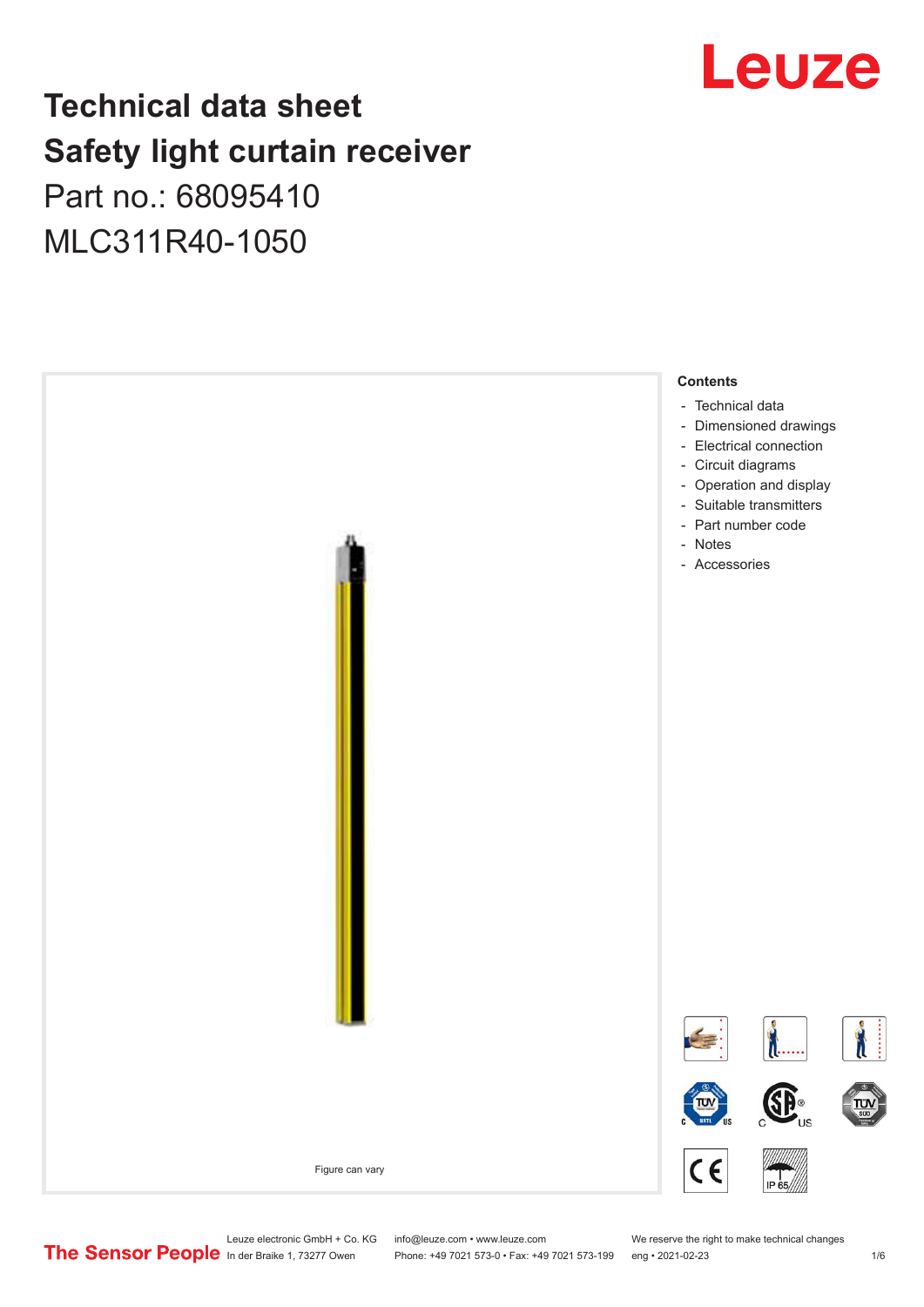## Leuze

## **Technical data sheet Safety light curtain receiver** Part no.: 68095410

MLC311R40-1050



Leuze electronic GmbH + Co. KG info@leuze.com • www.leuze.com We reserve the right to make technical changes<br>
The Sensor People in der Braike 1, 73277 Owen Phone: +49 7021 573-0 • Fax: +49 7021 573-199 eng • 2021-02-23

Phone: +49 7021 573-0 • Fax: +49 7021 573-199 eng • 2021-02-23 1 /6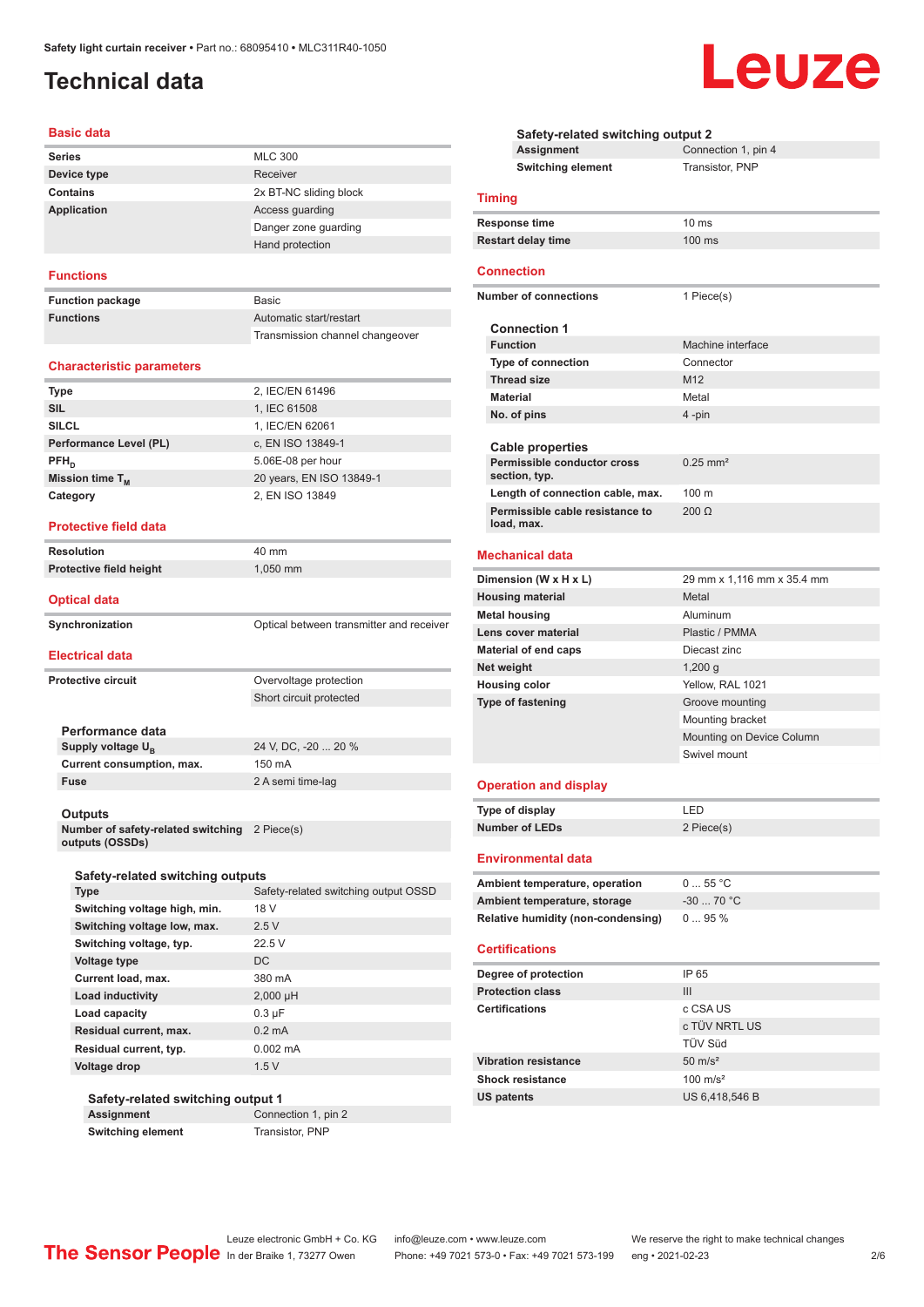## <span id="page-1-0"></span>**Technical data**

#### **Basic data**

| <b>Series</b>      | <b>MLC 300</b>         |
|--------------------|------------------------|
| Device type        | Receiver               |
| Contains           | 2x BT-NC sliding block |
| <b>Application</b> | Access guarding        |
|                    | Danger zone quarding   |
|                    | Hand protection        |

#### **Functions**

| <b>Function package</b> | Basic                           |
|-------------------------|---------------------------------|
| <b>Functions</b>        | Automatic start/restart         |
|                         | Transmission channel changeover |

#### **Characteristic parameters**

| 2, IEC/EN 61496          |
|--------------------------|
| 1, IEC 61508             |
| 1, IEC/EN 62061          |
| c, EN ISO 13849-1        |
| 5.06E-08 per hour        |
| 20 years, EN ISO 13849-1 |
| 2, EN ISO 13849          |
|                          |

#### **Protective field data**

| <b>Resolution</b>                                                | 40 mm                                    |
|------------------------------------------------------------------|------------------------------------------|
| Protective field height                                          | 1,050 mm                                 |
| <b>Optical data</b>                                              |                                          |
| Synchronization                                                  | Optical between transmitter and receiver |
| <b>Electrical data</b>                                           |                                          |
| <b>Protective circuit</b>                                        | Overvoltage protection                   |
|                                                                  | Short circuit protected                  |
| Performance data                                                 |                                          |
| Supply voltage $U_{B}$                                           | 24 V, DC, -20  20 %                      |
| Current consumption, max.                                        | 150 mA                                   |
| <b>Fuse</b>                                                      | 2 A semi time-lag                        |
| Outputs                                                          |                                          |
| Number of safety-related switching 2 Piece(s)<br>outputs (OSSDs) |                                          |
| Safety-related switching outputs                                 |                                          |
| Tyne                                                             | O220 turtua paidotiwa beteler_yterPe     |

| <b>Type</b>                  | Safety-related switching output OSSD |  |
|------------------------------|--------------------------------------|--|
| Switching voltage high, min. | 18 V                                 |  |
| Switching voltage low, max.  | 2.5V                                 |  |
| Switching voltage, typ.      | 22.5V                                |  |
| Voltage type                 | DC                                   |  |
| Current load, max.           | 380 mA                               |  |
| Load inductivity             | $2,000$ µH                           |  |
| Load capacity                | $0.3 \mu F$                          |  |
| Residual current, max.       | $0.2 \text{ mA}$                     |  |
| Residual current, typ.       | $0.002 \, \text{mA}$                 |  |
| Voltage drop                 | 1.5V                                 |  |
|                              |                                      |  |

#### **Safety-related switching output 1**

**Assignment** Connection 1, pin 2 **Switching element** Transistor, PNP

**Safety-related switching output 2 Assignment** Connection 1, pin 4 **Switching element** Transistor, PNP **Timing Response time** 10 ms **Restart delay time** 100 ms **Connection Number of connections** 1 Piece(s) **Connection 1 Machine interface Type of connection** Connector **Thread size** M12 **Material** Metal **No. of pins** 4 -pin **Cable properties Permissible conductor cross section, typ.** 0.25 mm² **Length of connection cable, max.** 100 m **Permissible cable resistance to load, max.** 200 Ω **Mechanical data Dimension (W x H x L)** 29 mm x 1,116 mm x 35.4 mm **Housing material** Metal **Metal housing Aluminum Lens cover material Plastic / PMMA Material of end caps** Diecast zinc **Net weight** 1,200 g **Housing color** Yellow, RAL 1021 **Type of fastening** Groove mounting Mounting bracket Mounting on Device Column Swivel mount **Operation and display Type of display** LED **Number of LEDs** 2 Piece(s) **Environmental data** Ambient temperature, operation 0 ... 55 °C **Ambient temperature, storage** -30 ... 70 °C **Relative humidity (non-condensing)** 0 ... 95 % **Certifications Degree of protection** IP 65 **Protection class** III **Certifications** c CSA US c TÜV NRTL US TÜV Süd **Vibration resistance** 50 m/s<sup>2</sup> **Shock resistance** 100 m/s<sup>2</sup> **US patents** US 6,418,546 B



Phone: +49 7021 573-0 • Fax: +49 7021 573-199 eng • 2021-02-23 2/6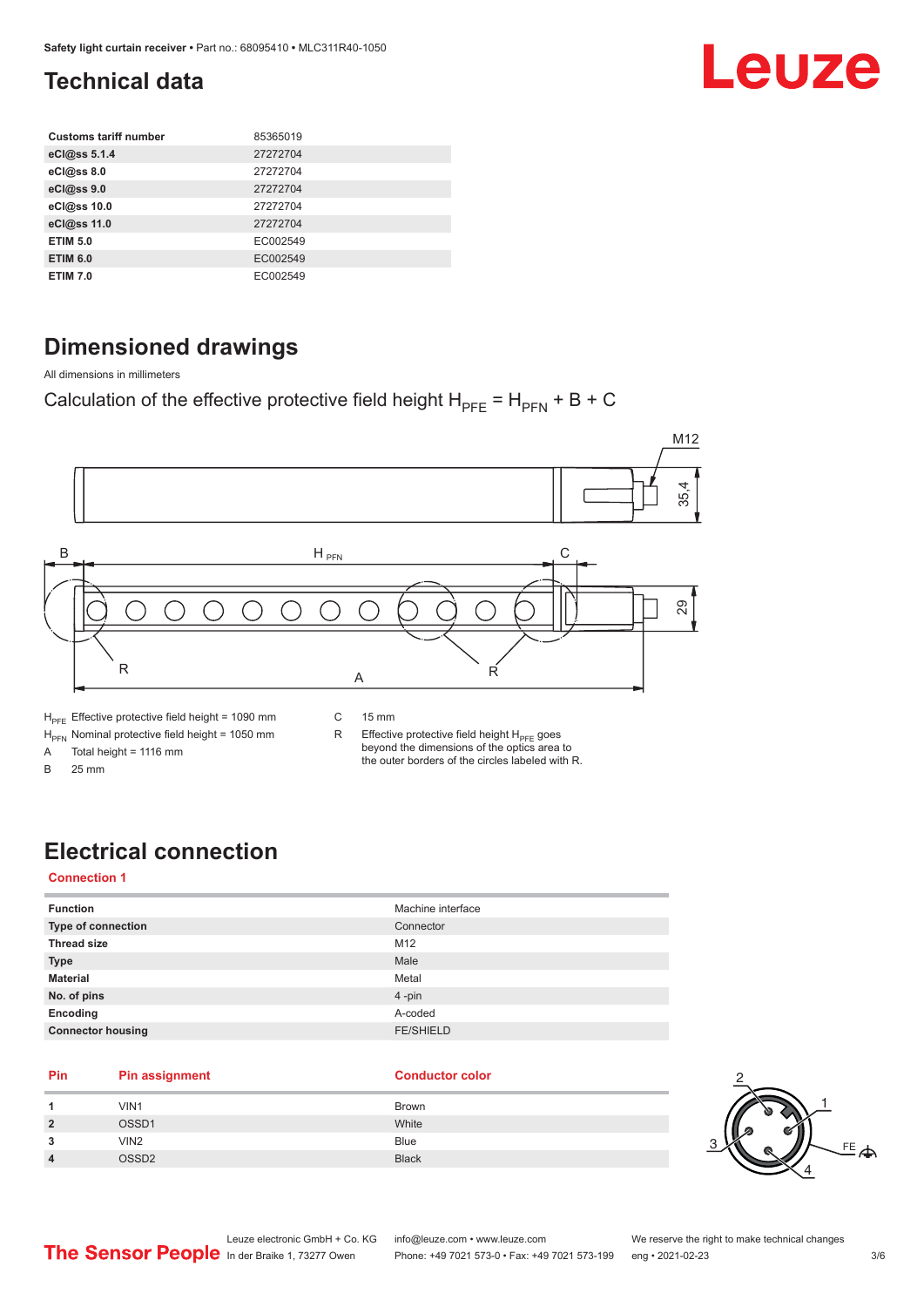## <span id="page-2-0"></span>**Technical data**

| <b>Customs tariff number</b> | 85365019 |
|------------------------------|----------|
| eCl@ss 5.1.4                 | 27272704 |
| eCl@ss 8.0                   | 27272704 |
| eCl@ss 9.0                   | 27272704 |
| eCl@ss 10.0                  | 27272704 |
| eCl@ss 11.0                  | 27272704 |
| <b>ETIM 5.0</b>              | EC002549 |
| <b>ETIM 6.0</b>              | EC002549 |
| <b>ETIM 7.0</b>              | EC002549 |

### **Dimensioned drawings**

All dimensions in millimeters

Calculation of the effective protective field height  $H_{PFE} = H_{PFN} + B + C$ 



A Total height = 1116 mm

B 25 mm

R Effective protective field height  $H_{PFE}$  goes beyond the dimensions of the optics area to the outer borders of the circles labeled with R.

## **Electrical connection**

#### **Connection 1**

| <b>Function</b>          | Machine interface |
|--------------------------|-------------------|
| Type of connection       | Connector         |
| <b>Thread size</b>       | M12               |
| <b>Type</b>              | Male              |
| <b>Material</b>          | Metal             |
| No. of pins              | $4 - pin$         |
| Encoding                 | A-coded           |
| <b>Connector housing</b> | <b>FE/SHIELD</b>  |
|                          |                   |

#### **Pin Pin assignment Conductor Conductor Color**

| 1              | VIN1             | <b>Brown</b> |
|----------------|------------------|--------------|
| $\overline{2}$ | OSSD1            | White        |
| 3              | VIN <sub>2</sub> | Blue         |
| $\overline{4}$ | <b>COSSD2</b>    | <b>Black</b> |



Leuze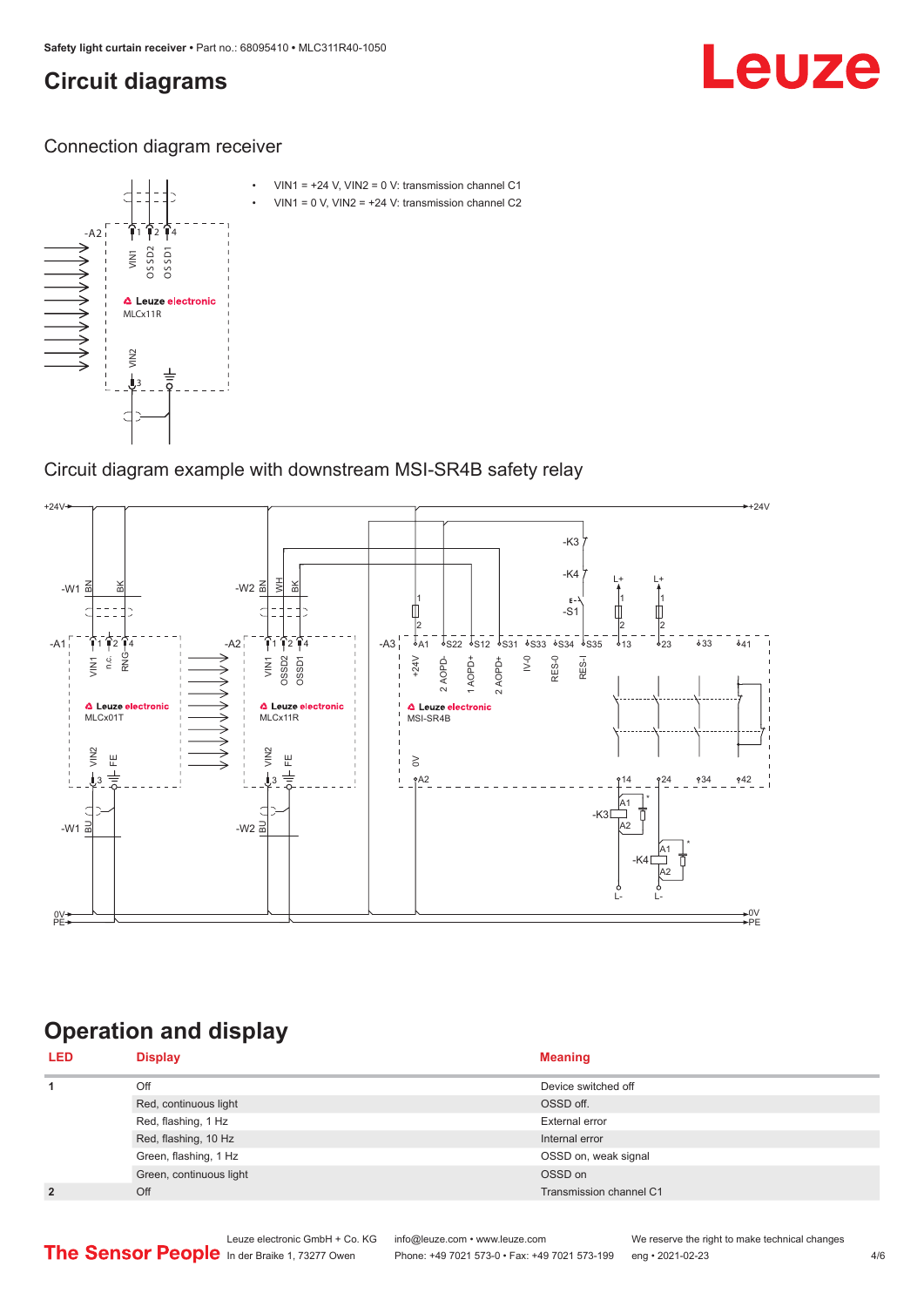## <span id="page-3-0"></span>**Circuit diagrams**

# Leuze

Connection diagram receiver



Circuit diagram example with downstream MSI-SR4B safety relay



## **Operation and display**

| <b>LED</b>     | <b>Display</b>          | <b>Meaning</b>          |
|----------------|-------------------------|-------------------------|
| 1              | Off                     | Device switched off     |
|                | Red, continuous light   | OSSD off.               |
|                | Red, flashing, 1 Hz     | External error          |
|                | Red, flashing, 10 Hz    | Internal error          |
|                | Green, flashing, 1 Hz   | OSSD on, weak signal    |
|                | Green, continuous light | OSSD on                 |
| $\overline{2}$ | Off                     | Transmission channel C1 |

Phone: +49 7021 573-0 • Fax: +49 7021 573-199 eng • 2021-02-23 4/6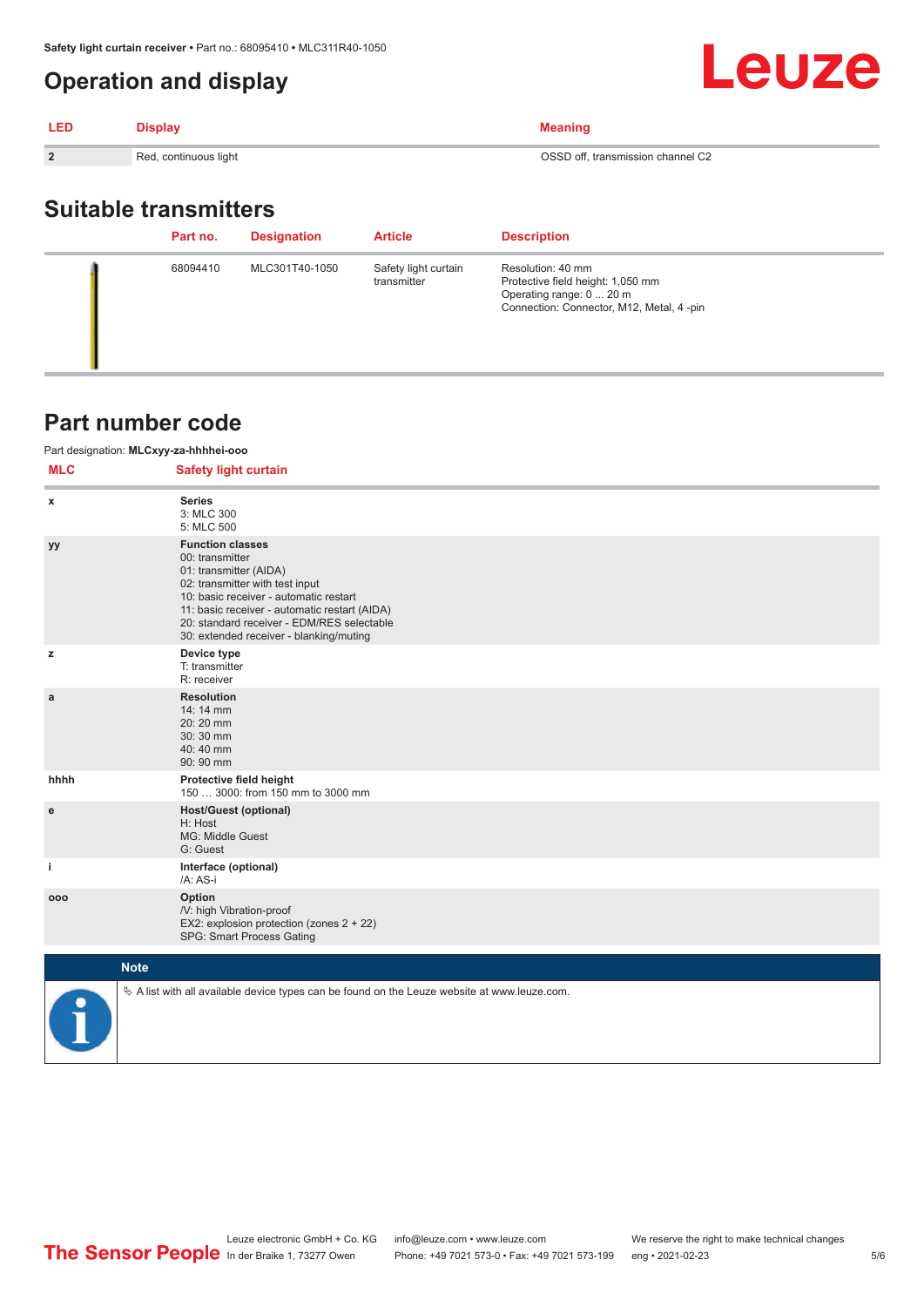### <span id="page-4-0"></span>**Operation and display**

| <b>LED</b>     | <b>Display</b>        | <b>Meaning</b>                    |
|----------------|-----------------------|-----------------------------------|
| $\overline{2}$ | Red, continuous light | OSSD off, transmission channel C2 |
|                |                       |                                   |

## **Suitable transmitters**

| Part no. | <b>Designation</b> | <b>Article</b>                      | <b>Description</b>                                                                                                             |
|----------|--------------------|-------------------------------------|--------------------------------------------------------------------------------------------------------------------------------|
| 68094410 | MLC301T40-1050     | Safety light curtain<br>transmitter | Resolution: 40 mm<br>Protective field height: 1,050 mm<br>Operating range: 0  20 m<br>Connection: Connector, M12, Metal, 4-pin |

#### **Part number code**

#### Part designation: **MLCxyy-za-hhhhei-ooo**

| <b>MLC</b>   | <b>Safety light curtain</b>                                                                                                                                                                                                                                                                 |
|--------------|---------------------------------------------------------------------------------------------------------------------------------------------------------------------------------------------------------------------------------------------------------------------------------------------|
| x            | <b>Series</b><br>3: MLC 300<br>5: MLC 500                                                                                                                                                                                                                                                   |
| уу           | <b>Function classes</b><br>00: transmitter<br>01: transmitter (AIDA)<br>02: transmitter with test input<br>10: basic receiver - automatic restart<br>11: basic receiver - automatic restart (AIDA)<br>20: standard receiver - EDM/RES selectable<br>30: extended receiver - blanking/muting |
| z            | Device type<br>T: transmitter<br>R: receiver                                                                                                                                                                                                                                                |
| $\mathbf{a}$ | <b>Resolution</b><br>14: 14 mm<br>20:20 mm<br>30:30 mm<br>40:40 mm<br>90: 90 mm                                                                                                                                                                                                             |
| hhhh         | Protective field height<br>150  3000: from 150 mm to 3000 mm                                                                                                                                                                                                                                |
| ${\bf e}$    | <b>Host/Guest (optional)</b><br>H: Host<br>MG: Middle Guest<br>G: Guest                                                                                                                                                                                                                     |
| j.           | Interface (optional)<br>/A: AS-i                                                                                                                                                                                                                                                            |
| 000          | Option<br>/V: high Vibration-proof<br>EX2: explosion protection (zones 2 + 22)<br>SPG: Smart Process Gating                                                                                                                                                                                 |
|              | <b>Note</b>                                                                                                                                                                                                                                                                                 |



 $\%$  A list with all available device types can be found on the Leuze website at www.leuze.com.

Leuze